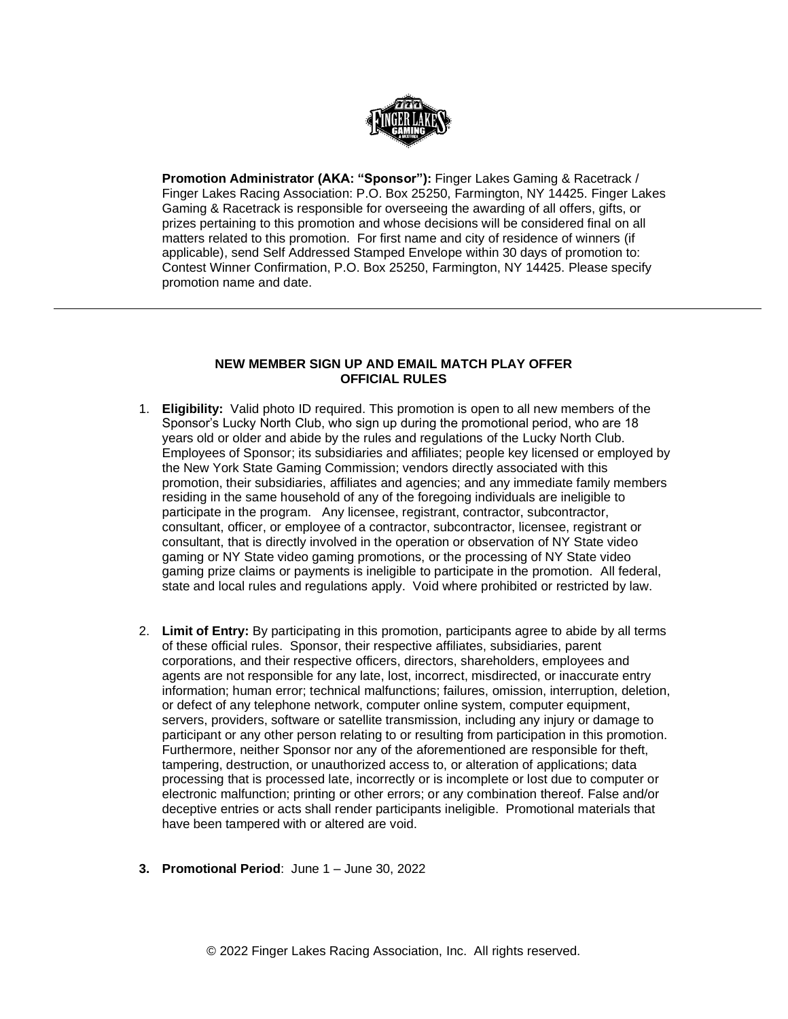

**Promotion Administrator (AKA: "Sponsor"):** Finger Lakes Gaming & Racetrack / Finger Lakes Racing Association: P.O. Box 25250, Farmington, NY 14425. Finger Lakes Gaming & Racetrack is responsible for overseeing the awarding of all offers, gifts, or prizes pertaining to this promotion and whose decisions will be considered final on all matters related to this promotion. For first name and city of residence of winners (if applicable), send Self Addressed Stamped Envelope within 30 days of promotion to: Contest Winner Confirmation, P.O. Box 25250, Farmington, NY 14425. Please specify promotion name and date.

## **NEW MEMBER SIGN UP AND EMAIL MATCH PLAY OFFER OFFICIAL RULES**

- 1. **Eligibility:** Valid photo ID required. This promotion is open to all new members of the Sponsor's Lucky North Club, who sign up during the promotional period, who are 18 years old or older and abide by the rules and regulations of the Lucky North Club. Employees of Sponsor; its subsidiaries and affiliates; people key licensed or employed by the New York State Gaming Commission; vendors directly associated with this promotion, their subsidiaries, affiliates and agencies; and any immediate family members residing in the same household of any of the foregoing individuals are ineligible to participate in the program. Any licensee, registrant, contractor, subcontractor, consultant, officer, or employee of a contractor, subcontractor, licensee, registrant or consultant, that is directly involved in the operation or observation of NY State video gaming or NY State video gaming promotions, or the processing of NY State video gaming prize claims or payments is ineligible to participate in the promotion. All federal, state and local rules and regulations apply. Void where prohibited or restricted by law.
- 2. **Limit of Entry:** By participating in this promotion, participants agree to abide by all terms of these official rules. Sponsor, their respective affiliates, subsidiaries, parent corporations, and their respective officers, directors, shareholders, employees and agents are not responsible for any late, lost, incorrect, misdirected, or inaccurate entry information; human error; technical malfunctions; failures, omission, interruption, deletion, or defect of any telephone network, computer online system, computer equipment, servers, providers, software or satellite transmission, including any injury or damage to participant or any other person relating to or resulting from participation in this promotion. Furthermore, neither Sponsor nor any of the aforementioned are responsible for theft, tampering, destruction, or unauthorized access to, or alteration of applications; data processing that is processed late, incorrectly or is incomplete or lost due to computer or electronic malfunction; printing or other errors; or any combination thereof. False and/or deceptive entries or acts shall render participants ineligible. Promotional materials that have been tampered with or altered are void.
- **3. Promotional Period**: June 1 June 30, 2022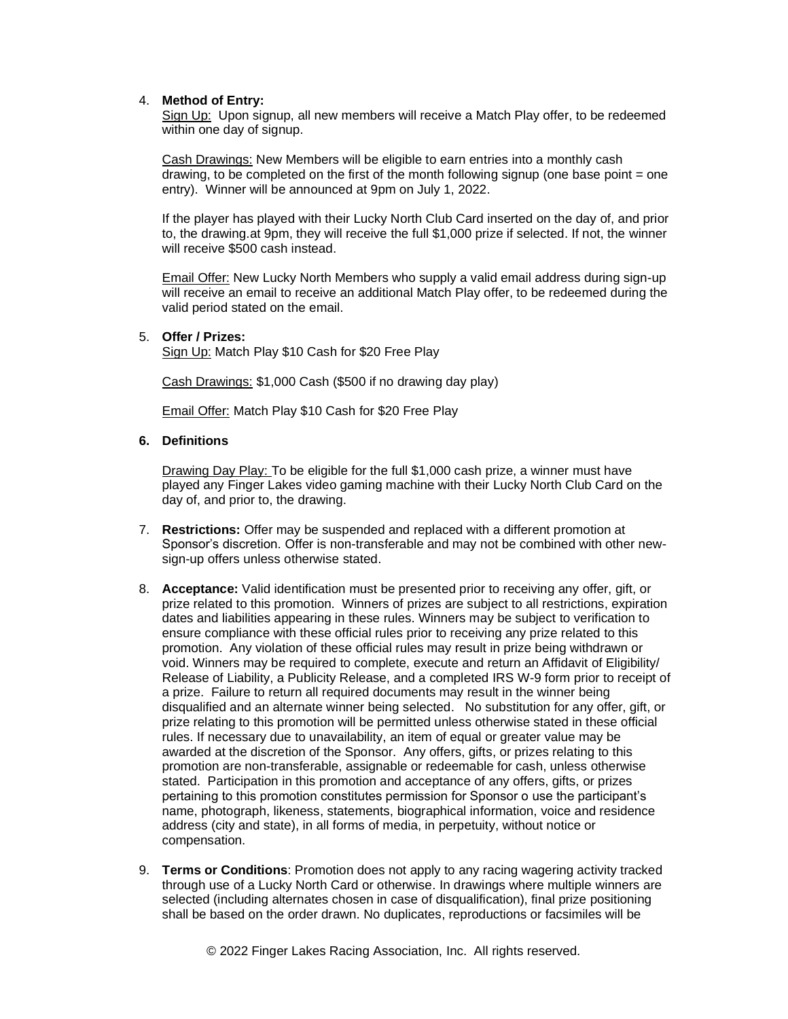## 4. **Method of Entry:**

Sign Up: Upon signup, all new members will receive a Match Play offer, to be redeemed within one day of signup.

Cash Drawings: New Members will be eligible to earn entries into a monthly cash drawing, to be completed on the first of the month following signup (one base point = one entry). Winner will be announced at 9pm on July 1, 2022.

If the player has played with their Lucky North Club Card inserted on the day of, and prior to, the drawing.at 9pm, they will receive the full \$1,000 prize if selected. If not, the winner will receive \$500 cash instead.

Email Offer: New Lucky North Members who supply a valid email address during sign-up will receive an email to receive an additional Match Play offer, to be redeemed during the valid period stated on the email.

## 5. **Offer / Prizes:**

Sign Up: Match Play \$10 Cash for \$20 Free Play

Cash Drawings: \$1,000 Cash (\$500 if no drawing day play)

Email Offer: Match Play \$10 Cash for \$20 Free Play

## **6. Definitions**

Drawing Day Play: To be eligible for the full \$1,000 cash prize, a winner must have played any Finger Lakes video gaming machine with their Lucky North Club Card on the day of, and prior to, the drawing.

- 7. **Restrictions:** Offer may be suspended and replaced with a different promotion at Sponsor's discretion. Offer is non-transferable and may not be combined with other newsign-up offers unless otherwise stated.
- 8. **Acceptance:** Valid identification must be presented prior to receiving any offer, gift, or prize related to this promotion. Winners of prizes are subject to all restrictions, expiration dates and liabilities appearing in these rules. Winners may be subject to verification to ensure compliance with these official rules prior to receiving any prize related to this promotion. Any violation of these official rules may result in prize being withdrawn or void. Winners may be required to complete, execute and return an Affidavit of Eligibility/ Release of Liability, a Publicity Release, and a completed IRS W-9 form prior to receipt of a prize. Failure to return all required documents may result in the winner being disqualified and an alternate winner being selected. No substitution for any offer, gift, or prize relating to this promotion will be permitted unless otherwise stated in these official rules. If necessary due to unavailability, an item of equal or greater value may be awarded at the discretion of the Sponsor. Any offers, gifts, or prizes relating to this promotion are non-transferable, assignable or redeemable for cash, unless otherwise stated. Participation in this promotion and acceptance of any offers, gifts, or prizes pertaining to this promotion constitutes permission for Sponsor o use the participant's name, photograph, likeness, statements, biographical information, voice and residence address (city and state), in all forms of media, in perpetuity, without notice or compensation.
- 9. **Terms or Conditions**: Promotion does not apply to any racing wagering activity tracked through use of a Lucky North Card or otherwise. In drawings where multiple winners are selected (including alternates chosen in case of disqualification), final prize positioning shall be based on the order drawn. No duplicates, reproductions or facsimiles will be